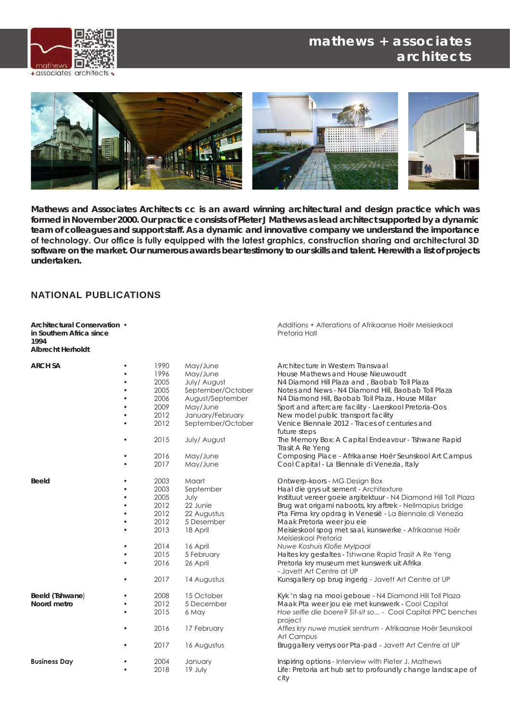#### **mathews + associates architects**





**Mathews and Associates Architects cc is an award winning architectural and design practice which was formed in November 2000. Our practice consists of Pieter J Mathews as lead architect supported by a dynamic team of colleagues and support staff. As a dynamic and innovative company we understand the importance of technology. Our office is fully equipped with the latest graphics, construction sharing and architectural 3D software on the market. Our numerous awards bear testimony to our skills and talent. Herewith a list of projects undertaken.**

#### **NATIONAL PUBLICATIONS**

**in Southern Africa since 1994 Albrecht Herholdt**

**Architectural Conservation •**<br> **Additions + Alterations of Afrikaanse Hoër Meisieskool**<br> **in Southern Africa since** 

| <b>ARCH SA</b>      |           | 1990 | May/June          | Architecture in Western Transvaal                               |
|---------------------|-----------|------|-------------------|-----------------------------------------------------------------|
|                     |           | 1996 | May/June          | House Mathews and House Nieuwoudt                               |
|                     |           | 2005 | July/ August      | N4 Diamond Hill Plaza and, Baobab Toll Plaza                    |
|                     |           | 2005 | September/October | Notes and News - N4 Diamond Hill, Baobab Toll Plaza             |
|                     |           | 2006 | August/September  | N4 Diamond Hill, Baobab Toll Plaza, House Millar                |
|                     |           | 2009 | May/June          | Sport and aftercare facility - Laerskool Pretoria-Oos           |
|                     |           | 2012 | January/February  | New model public transport facility                             |
|                     |           | 2012 | September/October | Venice Biennale 2012 - Traces of centuries and                  |
|                     |           |      |                   | future steps                                                    |
|                     |           | 2015 | July/ August      | The Memory Box: A Capital Endeavour - Tshwane Rapid             |
|                     |           |      |                   | Trasit A Re Yeng                                                |
|                     |           | 2016 | May/June          | Composing Place - Afrikaanse Hoër Seunskool Art Campus          |
|                     |           | 2017 | May/June          | Cool Capital - La Biennale di Venezia, Italy                    |
|                     |           |      |                   |                                                                 |
| <b>Beeld</b>        |           | 2003 | Maart             | Ontwerp-koors - MG Design Box                                   |
|                     | $\bullet$ | 2003 | September         | Haal die grys uit sement - Architexture                         |
|                     | $\bullet$ | 2005 | July              | Instituut vereer goeie argitektuur - N4 Diamond Hill Toll Plaza |
|                     |           | 2012 | 22 Junie          | Brug wat origami naboots, kry aftrek - Nellmapius bridge        |
|                     |           | 2012 | 22 Augustus       | Pta Firma kry opdrag in Venesië - La Biennale di Venezia        |
|                     |           | 2012 | 5 Desember        | Maak Pretoria weer jou eie                                      |
|                     |           | 2013 | 18 April          | Meisieskool spog met saal, kunswerke - Afrikaanse Hoër          |
|                     |           |      |                   | Meisieskool Pretoria                                            |
|                     |           | 2014 | 16 April          | Nuwe Koshuis Klofie Mylpaal                                     |
|                     |           | 2015 | 5 February        | Haltes kry gestaltes - Tshwane Rapid Trasit A Re Yeng           |
|                     |           | 2016 | 26 April          | Pretoria kry museum met kunswerk uit Afrika                     |
|                     |           |      |                   | - Javett Art Centre at UP                                       |
|                     |           | 2017 | 14 Augustus       | Kunsgallery op brug ingerig - Javett Art Centre at UP           |
|                     |           |      |                   |                                                                 |
| Beeld (Tshwane)     | ٠         | 2008 | 15 October        | Kyk 'n slag na mooi geboue - N4 Diamond Hill Toll Plaza         |
| Noord metro         |           | 2012 | 5 December        | Maak Pta weer jou eie met kunswerk - Cool Capital               |
|                     |           | 2015 | 6 May             | Hoe selfie die boere? Sit-sit so - Cool Capital PPC benches     |
|                     |           |      |                   | project                                                         |
|                     |           | 2016 | 17 February       | Affies kry nuwe musiek sentrum - Afrikaanse Hoër Seunskool      |
|                     |           |      |                   | Art Campus                                                      |
|                     |           | 2017 | 16 Augustus       | Bruggallery verrys oor Pta-pad - Javett Art Centre at UP        |
|                     |           |      |                   |                                                                 |
| <b>Business Day</b> |           | 2004 | January           | Inspiring options - Interview with Pieter J. Mathews            |
|                     |           | 2018 | 19 July           | Life: Pretoria art hub set to profoundly change landscape of    |
|                     |           |      |                   | city                                                            |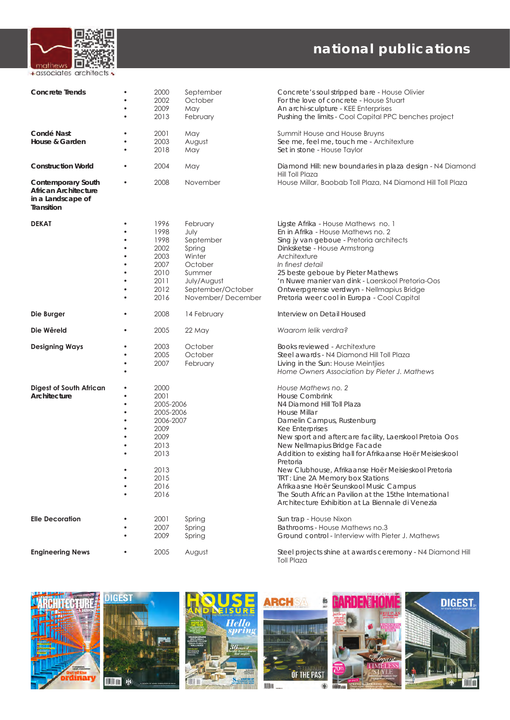

| <b>Concrete Trends</b>                                                               | ٠<br>$\bullet$        | 2000<br>2002<br>2009<br>2013                                                                                        | September<br>October<br>May<br>February                                                                                          | Concrete's soul stripped bare - House Olivier<br>For the love of concrete - House Stuart<br>An archi-sculpture - KEE Enterprises<br>Pushing the limits - Cool Capital PPC benches project                                                                                                                                                                                                                                                                                                                                                                                         |
|--------------------------------------------------------------------------------------|-----------------------|---------------------------------------------------------------------------------------------------------------------|----------------------------------------------------------------------------------------------------------------------------------|-----------------------------------------------------------------------------------------------------------------------------------------------------------------------------------------------------------------------------------------------------------------------------------------------------------------------------------------------------------------------------------------------------------------------------------------------------------------------------------------------------------------------------------------------------------------------------------|
| Condé Nast<br>House & Garden                                                         | ٠                     | 2001<br>2003<br>2018                                                                                                | May<br>August<br>May                                                                                                             | Summit House and House Bruyns<br>See me, feel me, touch me - Architexture<br>Set in stone - House Taylor                                                                                                                                                                                                                                                                                                                                                                                                                                                                          |
| <b>Construction World</b>                                                            | ٠                     | 2004                                                                                                                | May                                                                                                                              | Diamond Hill: new boundaries in plaza design - N4 Diamond<br>Hill Toll Plaza                                                                                                                                                                                                                                                                                                                                                                                                                                                                                                      |
| <b>Contemporary South</b><br>African Architecture<br>in a Landscape of<br>Transition | $\bullet$             | 2008                                                                                                                | November                                                                                                                         | House Millar, Baobab Toll Plaza, N4 Diamond Hill Toll Plaza                                                                                                                                                                                                                                                                                                                                                                                                                                                                                                                       |
| <b>DEKAT</b>                                                                         | ٠<br>٠<br>٠<br>٠<br>٠ | 1996<br>1998<br>1998<br>2002<br>2003<br>2007<br>2010<br>2011<br>2012<br>2016                                        | February<br>July<br>September<br>Spring<br>Winter<br>October<br>Summer<br>July/August<br>September/October<br>November/ December | Ligste Afrika - House Mathews no. 1<br>En in Afrika - House Mathews no. 2<br>Sing jy van geboue - Pretoria architects<br>Dinksketse - House Armstrong<br>Architexture<br>In finest detail<br>25 beste geboue by Pieter Mathews<br>'n Nuwe manier van dink - Laerskool Pretoria-Oos<br>Ontwerpgrense verdwyn - Nellmapius Bridge<br>Pretoria weer cool in Europa - Cool Capital                                                                                                                                                                                                    |
| Die Burger                                                                           |                       | 2008                                                                                                                | 14 February                                                                                                                      | Interview on Detail Housed                                                                                                                                                                                                                                                                                                                                                                                                                                                                                                                                                        |
| Die Wêreld                                                                           | ٠                     | 2005                                                                                                                | 22 May                                                                                                                           | Waarom lelik verdra?                                                                                                                                                                                                                                                                                                                                                                                                                                                                                                                                                              |
| <b>Designing Ways</b>                                                                | ٠<br>٠<br>$\bullet$   | 2003<br>2005<br>2007                                                                                                | October<br>October<br>February                                                                                                   | Books reviewed - Architexture<br>Steel awards - N4 Diamond Hill Toll Plaza<br>Living in the Sun: House Meintjies<br>Home Owners Association by Pieter J. Mathews                                                                                                                                                                                                                                                                                                                                                                                                                  |
| <b>Digest of South African</b><br>Architecture                                       | ٠<br>٠<br>٠<br>٠<br>٠ | 2000<br>2001<br>2005-2006<br>2005-2006<br>2006-2007<br>2009<br>2009<br>2013<br>2013<br>2013<br>2015<br>2016<br>2016 |                                                                                                                                  | House Mathews no. 2<br><b>House Combrink</b><br>N4 Diamond Hill Toll Plaza<br><b>House Millar</b><br>Damelin Campus, Rustenburg<br><b>Kee Enterprises</b><br>New sport and aftercare facility, Laerskool Pretoia Oos<br>New Nellmapius Bridge Facade<br>Addition to existing hall for Afrikaanse Hoër Meisieskool<br>Pretoria<br>New Clubhouse, Afrikaanse Hoër Meisieskool Pretoria<br>TRT : Line 2A Memory box Stations<br>Afrikaasne Hoër Seunskool Music Campus<br>The South African Pavilion at the 15the International<br>Architecture Exhibition at La Biennale di Venezia |
| <b>Elle Decoration</b>                                                               | ٠                     | 2001<br>2007<br>2009                                                                                                | Spring<br>Spring<br>Spring                                                                                                       | Sun trap - House Nixon<br>Bathrooms - House Mathews no.3<br>Ground control - Interview with Pieter J. Mathews                                                                                                                                                                                                                                                                                                                                                                                                                                                                     |
| <b>Engineering News</b>                                                              |                       | 2005                                                                                                                | August                                                                                                                           | Steel projects shine at awards ceremony - N4 Diamond Hill<br><b>Toll Plaza</b>                                                                                                                                                                                                                                                                                                                                                                                                                                                                                                    |













iidili m

0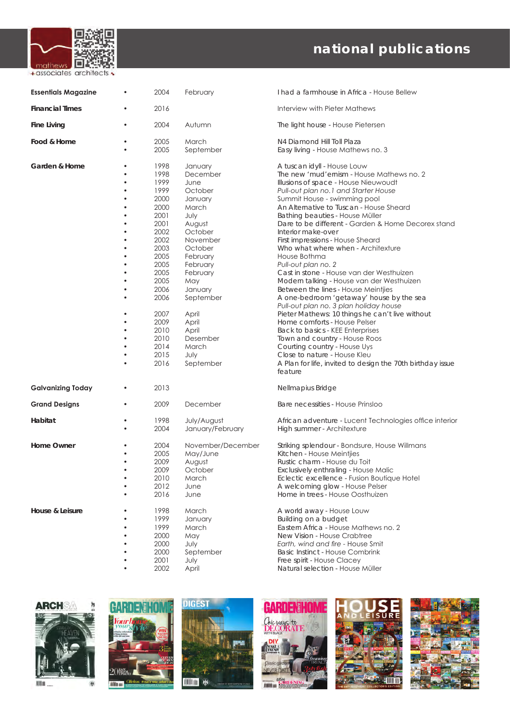

| <b>Essentials Magazine</b> | 2004                                                                                                                                                                                         | February                                                                                                                                                                                                                                               | I had a farmhouse in Africa - House Bellew                                                                                                                                                                                                                                                                                                                                                                                                                                                                                                                                                                                                                                                                                                                                                                                                                                                                                                                                                  |
|----------------------------|----------------------------------------------------------------------------------------------------------------------------------------------------------------------------------------------|--------------------------------------------------------------------------------------------------------------------------------------------------------------------------------------------------------------------------------------------------------|---------------------------------------------------------------------------------------------------------------------------------------------------------------------------------------------------------------------------------------------------------------------------------------------------------------------------------------------------------------------------------------------------------------------------------------------------------------------------------------------------------------------------------------------------------------------------------------------------------------------------------------------------------------------------------------------------------------------------------------------------------------------------------------------------------------------------------------------------------------------------------------------------------------------------------------------------------------------------------------------|
| <b>Financial Times</b>     | 2016                                                                                                                                                                                         |                                                                                                                                                                                                                                                        | Interview with Pieter Mathews                                                                                                                                                                                                                                                                                                                                                                                                                                                                                                                                                                                                                                                                                                                                                                                                                                                                                                                                                               |
| <b>Fine Living</b>         | 2004                                                                                                                                                                                         | Autumn                                                                                                                                                                                                                                                 | The light house - House Pietersen                                                                                                                                                                                                                                                                                                                                                                                                                                                                                                                                                                                                                                                                                                                                                                                                                                                                                                                                                           |
| Food & Home                | 2005<br>2005                                                                                                                                                                                 | March<br>September                                                                                                                                                                                                                                     | N4 Diamond Hill Toll Plaza<br>Easy living - House Mathews no. 3                                                                                                                                                                                                                                                                                                                                                                                                                                                                                                                                                                                                                                                                                                                                                                                                                                                                                                                             |
| Garden & Home              | 1998<br>1998<br>1999<br>1999<br>2000<br>2000<br>2001<br>2001<br>2002<br>2002<br>2003<br>2005<br>2005<br>2005<br>2005<br>2006<br>2006<br>2007<br>2009<br>2010<br>2010<br>2014<br>2015<br>2016 | January<br>December<br>June<br>October<br>January<br>March<br>July<br>August<br>October<br>November<br>October<br>February<br>February<br>February<br>May<br>January<br>September<br>April<br>April<br>April<br>Desember<br>March<br>July<br>September | A tuscan idyll - House Louw<br>The new 'mud'ernism - House Mathews no. 2<br>Illusions of space - House Nieuwoudt<br>Pull-out plan no. 1 and Starter House<br>Summit House - swimming pool<br>An Alternative to Tuscan - House Sheard<br>Bathing beauties - House Müller<br>Dare to be different - Garden & Home Decorex stand<br>Interior make-over<br>First impressions - House Sheard<br>Who what where when - Architexture<br>House Bothma<br>Pull-out plan no. 2<br>Cast in stone - House van der Westhuizen<br>Modern talking - House van der Westhuizen<br>Between the lines - House Meintjies<br>A one-bedroom 'getaway' house by the sea<br>Pull-out plan no. 3 plan holiday house<br>Pieter Mathews: 10 things he can't live without<br>Home comforts - House Pelser<br>Back to basics - KEE Enterprises<br>Town and country - House Roos<br>Courting country - House Uys<br>Close to nature - House Kleu<br>A Plan for life, invited to design the 70th birthday issue<br>feature |
| <b>Galvanizing Today</b>   | 2013                                                                                                                                                                                         |                                                                                                                                                                                                                                                        | Nellmapius Bridge                                                                                                                                                                                                                                                                                                                                                                                                                                                                                                                                                                                                                                                                                                                                                                                                                                                                                                                                                                           |
| <b>Grand Designs</b>       | 2009                                                                                                                                                                                         | December                                                                                                                                                                                                                                               | Bare necessities - House Prinsloo                                                                                                                                                                                                                                                                                                                                                                                                                                                                                                                                                                                                                                                                                                                                                                                                                                                                                                                                                           |
| Habitat                    | 1998<br>2004                                                                                                                                                                                 | July/August<br>January/February                                                                                                                                                                                                                        | African adventure - Lucent Technologies office interior<br>High summer - Architexture                                                                                                                                                                                                                                                                                                                                                                                                                                                                                                                                                                                                                                                                                                                                                                                                                                                                                                       |
| Home Owner                 | 2004<br>2005<br>2009<br>2009<br>2010<br>2012<br>2016                                                                                                                                         | November/December<br>May/June<br>August<br>October<br>March<br>June<br>June                                                                                                                                                                            | Striking splendour - Bondsure, House Willmans<br>Kitchen - House Meintjies<br>Rustic charm - House du Toit<br>Exclusively enthraling - House Malic<br>Eclectic excellence - Fusion Boutique Hotel<br>A welcoming glow - House Pelser<br>Home in trees - House Oosthuizen                                                                                                                                                                                                                                                                                                                                                                                                                                                                                                                                                                                                                                                                                                                    |
| House & Leisure            | 1998<br>1999<br>1999<br>2000<br>2000<br>2000<br>2001<br>2002                                                                                                                                 | March<br>January<br>March<br>May<br>July<br>September<br>July<br>April                                                                                                                                                                                 | A world away - House Louw<br>Building on a budget<br>Eastern Africa - House Mathews no. 2<br>New Vision - House Crabtree<br>Earth, wind and fire - House Smit<br><b>Basic Instinct - House Combrink</b><br>Free spirit - House Clacey<br>Natural selection - House Müller                                                                                                                                                                                                                                                                                                                                                                                                                                                                                                                                                                                                                                                                                                                   |



ንበ









m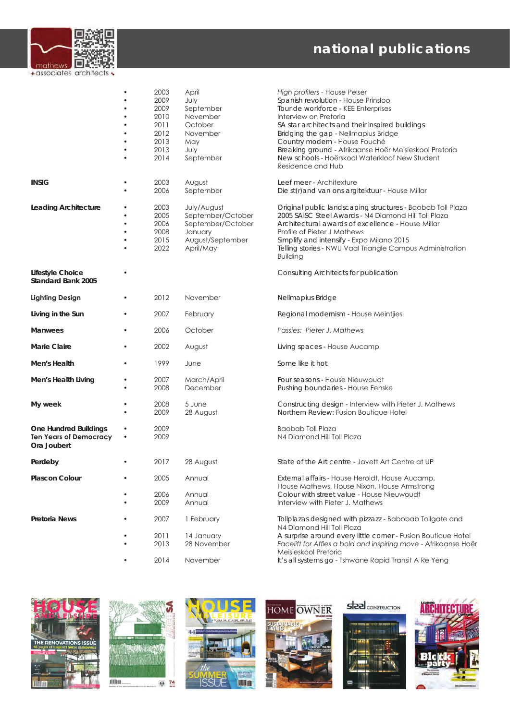

|                                                                              |           | 2003<br>2009<br>2009<br>2010<br>2011<br>2012<br>2013<br>2013<br>2014 | April<br>July<br>September<br>November<br>October<br>November<br>May<br>July<br>September         | High profilers - House Pelser<br>Spanish revolution - House Prinsloo<br>Tour de workforce - KEE Enterprises<br>Interview on Pretoria<br>SA star architects and their inspired buildings<br>Bridging the gap - Nellmapius Bridge<br>Country modern - House Fouché<br>Breaking ground - Afrikaanse Hoër Meisieskool Pretoria<br>New schools - Hoërskool Waterkloof New Student<br>Residence and Hub |
|------------------------------------------------------------------------------|-----------|----------------------------------------------------------------------|---------------------------------------------------------------------------------------------------|---------------------------------------------------------------------------------------------------------------------------------------------------------------------------------------------------------------------------------------------------------------------------------------------------------------------------------------------------------------------------------------------------|
| <b>INSIG</b>                                                                 |           | 2003<br>2006                                                         | August<br>September                                                                               | Leef meer - Architexture<br>Die st(r) and van ons argitektuur - House Millar                                                                                                                                                                                                                                                                                                                      |
| Leading Architecture                                                         | ٠         | 2003<br>2005<br>2006<br>2008<br>2015<br>2022                         | July/August<br>September/October<br>September/October<br>January<br>August/September<br>April/May | Original public landscaping structures - Baobab Toll Plaza<br>2005 SAISC Steel Awards - N4 Diamond Hill Toll Plaza<br>Architectural awards of excellence - House Millar<br>Profile of Pieter J Mathews<br>Simplify and intensify - Expo Milano 2015<br>Telling stories - NWU Vaal Triangle Campus Administration<br><b>Building</b>                                                               |
| Lifestyle Choice<br>Standard Bank 2005                                       |           |                                                                      |                                                                                                   | Consulting Architects for publication                                                                                                                                                                                                                                                                                                                                                             |
| <b>Lighting Design</b>                                                       |           | 2012                                                                 | November                                                                                          | Nellmapius Bridge                                                                                                                                                                                                                                                                                                                                                                                 |
| Living in the Sun                                                            |           | 2007                                                                 | February                                                                                          | Regional modernism - House Meintjies                                                                                                                                                                                                                                                                                                                                                              |
| <b>Manwees</b>                                                               |           | 2006                                                                 | October                                                                                           | Passies: Pieter J. Mathews                                                                                                                                                                                                                                                                                                                                                                        |
| Marie Claire                                                                 |           | 2002                                                                 | August                                                                                            | Living spaces - House Aucamp                                                                                                                                                                                                                                                                                                                                                                      |
| Men's Health                                                                 |           | 1999                                                                 | June                                                                                              | Some like it hot                                                                                                                                                                                                                                                                                                                                                                                  |
| Men's Health Living                                                          |           | 2007<br>2008                                                         | March/April<br>December                                                                           | Four seasons - House Nieuwoudt<br>Pushing boundaries - House Fenske                                                                                                                                                                                                                                                                                                                               |
| My week                                                                      |           | 2008<br>2009                                                         | 5 June<br>28 August                                                                               | Constructing design - Interview with Pieter J. Mathews<br>Northern Review: Fusion Boutique Hotel                                                                                                                                                                                                                                                                                                  |
| <b>One Hundred Buildings</b><br><b>Ten Years of Democracy</b><br>Ora Joubert | $\bullet$ | 2009<br>2009                                                         |                                                                                                   | <b>Baobab Toll Plaza</b><br>N4 Diamond Hill Toll Plaza                                                                                                                                                                                                                                                                                                                                            |
| Perdeby                                                                      |           | 2017                                                                 | 28 August                                                                                         | State of the Art centre - Javett Art Centre at UP                                                                                                                                                                                                                                                                                                                                                 |
| <b>Plascon Colour</b>                                                        |           | 2005<br>2006                                                         | Annual<br>Annual                                                                                  | External affairs - House Heroldt, House Aucamp,<br>House Mathews, House Nixon, House Armstrong<br>Colour with street value - House Nieuwoudt                                                                                                                                                                                                                                                      |
|                                                                              |           | 2009                                                                 | Annual                                                                                            | Interview with Pieter J. Mathews                                                                                                                                                                                                                                                                                                                                                                  |
| Pretoria News                                                                |           | 2007                                                                 | 1 February                                                                                        | Tollplazas designed with pizzazz - Babobab Tollgate and<br>N4 Diamond Hill Toll Plaza                                                                                                                                                                                                                                                                                                             |
|                                                                              |           | 2011<br>2013                                                         | 14 January<br>28 November                                                                         | A surprise around every little corner - Fusion Boutique Hotel<br>Facelift for Affies a bold and inspiring move - Afrikaanse Hoër<br>Meisieskool Pretoria                                                                                                                                                                                                                                          |
|                                                                              |           | 2014                                                                 | November                                                                                          | It's all systems go - Tshwane Rapid Transit A Re Yeng                                                                                                                                                                                                                                                                                                                                             |









**steel** CONSTRUCTION



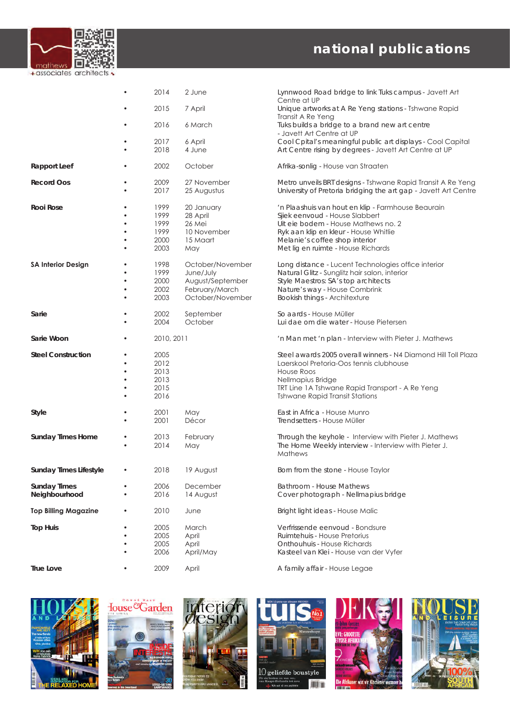

|                             |                | 2014                                         | 2 June                                                                                  | Lynnwood Road bridge to link Tuks campus - Javett Art<br>Centre at UP                                                                                                                                                                        |
|-----------------------------|----------------|----------------------------------------------|-----------------------------------------------------------------------------------------|----------------------------------------------------------------------------------------------------------------------------------------------------------------------------------------------------------------------------------------------|
|                             |                | 2015                                         | 7 April                                                                                 | Unique artworks at A Re Yeng stations - Tshwane Rapid<br>Transit A Re Yeng                                                                                                                                                                   |
|                             |                | 2016                                         | 6 March                                                                                 | Tuks builds a bridge to a brand new art centre<br>- Javett Art Centre at UP                                                                                                                                                                  |
|                             |                | 2017                                         | 6 April                                                                                 | Cool Cpital's meaningful public art displays - Cool Capital                                                                                                                                                                                  |
|                             |                | 2018                                         | 4 June                                                                                  | Art Centre rising by degrees - Javett Art Centre at UP                                                                                                                                                                                       |
| <b>Rapport Leef</b>         |                | 2002                                         | October                                                                                 | Afrika-sonlig - House van Straaten                                                                                                                                                                                                           |
| <b>Record Oos</b>           |                | 2009<br>2017                                 | 27 November<br>25 Augustus                                                              | Metro unveils BRT designs - Tshwane Rapid Transit A Re Yeng<br>University of Pretoria bridging the art gap - Jovett Art Centre                                                                                                               |
| Rooi Rose                   | ٠              | 1999<br>1999<br>1999<br>1999<br>2000<br>2003 | 20 January<br>28 April<br>26 Mei<br>10 November<br>15 Maart<br>May                      | 'n Plaashuis van hout en klip - Farmhouse Beaurain<br>Sjiek eenvoud - House Slabbert<br>Uit eie bodem - House Mathews no. 2<br>Ryk aan klip en kleur - House Whitlie<br>Melanie's coffee shop interior<br>Met lig en ruimte - House Richards |
| <b>SA Interior Design</b>   | ٠<br>$\bullet$ | 1998<br>1999<br>2000<br>2002<br>2003         | October/November<br>June/July<br>August/September<br>February/March<br>October/November | Long distance - Lucent Technologies office interior<br>Natural Glitz - Sunglitz hair salon, interior<br>Style Maestros: SA's top architects<br>Nature's way - House Combrink<br>Bookish things - Architexture                                |
| Sarie                       | $\bullet$      | 2002<br>2004                                 | September<br>October                                                                    | So aards - House Müller<br>Lui dae om die water - House Pietersen                                                                                                                                                                            |
| Sarie Woon                  |                | 2010, 2011                                   |                                                                                         | 'n Man met 'n plan - Interview with Pieter J. Mathews                                                                                                                                                                                        |
| <b>Steel Construction</b>   | $\bullet$<br>٠ | 2005<br>2012<br>2013<br>2013<br>2015<br>2016 |                                                                                         | Steel awards 2005 overall winners - N4 Diamond Hill Toll Plazd<br>Laerskool Pretoria-Oos tennis clubhouse<br>House Roos<br>Nellmapius Bridge<br>TRT Line 1A Tshwane Rapid Transport - A Re Yeng<br><b>Tshwane Rapid Transit Stations</b>     |
| Style                       |                | 2001<br>2001                                 | May<br>Décor                                                                            | East in Africa - House Munro<br>Trendsetters - House Müller                                                                                                                                                                                  |
| <b>Sunday Times Home</b>    | $\bullet$      | 2013<br>2014                                 | February<br>May                                                                         | Through the keyhole - Interview with Pieter J. Mathews<br>The Home Weekly interview - Interview with Pieter J.<br>Mathews                                                                                                                    |
| Sunday Times Lifestyle      |                | 2018                                         | 19 August                                                                               | Born from the stone - House Taylor                                                                                                                                                                                                           |
| <b>Sunday Times</b>         |                | 2006                                         | December                                                                                | Bathroom - House Mathews                                                                                                                                                                                                                     |
| Neighbourhood               |                | 2016                                         | 14 August                                                                               | Cover photograph - Nellmapius bridge                                                                                                                                                                                                         |
| <b>Top Billing Magazine</b> |                | 2010                                         | June                                                                                    | Bright light ideas - House Malic                                                                                                                                                                                                             |
| <b>Top Huis</b>             | ٠<br>٠         | 2005<br>2005<br>2005<br>2006                 | March<br>April<br>April<br>April/May                                                    | Verfrissende eenvoud - Bondsure<br>Ruimtehuis - House Pretorius<br>Onthouhuis - House Richards<br>Kasteel van Klei - House van der Vyfer                                                                                                     |
| True Love                   | $\bullet$      | 2009                                         | April                                                                                   | A family affair - House Legae                                                                                                                                                                                                                |











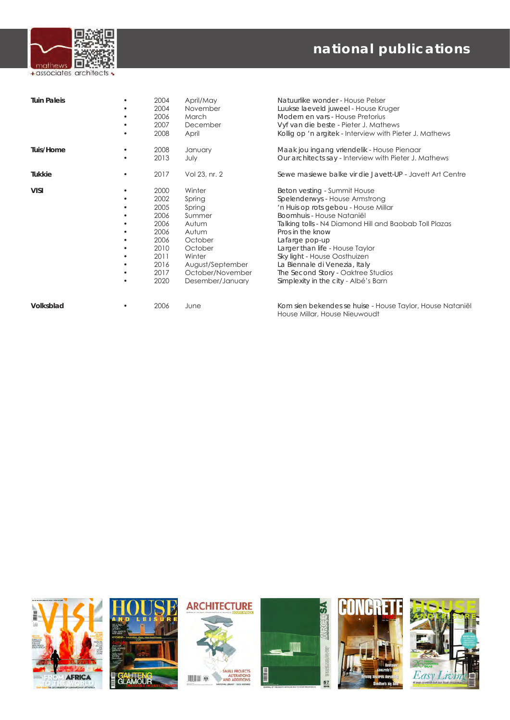

| <b>Tuin Paleis</b> | ٠                                                 | 2004<br>2004<br>2006<br>2007<br>2008                                                         | April/May<br>November<br>March<br>December<br>April                                                                                                | Natuurlike wonder - House Pelser<br>Luukse laeveld juweel - House Kruger<br>Modern en vars - House Pretorius<br>Vyf van die beste - Pieter J. Mathews<br>Kollig op 'n argitek - Interview with Pieter J. Mathews                                                                                                                                                                                                      |
|--------------------|---------------------------------------------------|----------------------------------------------------------------------------------------------|----------------------------------------------------------------------------------------------------------------------------------------------------|-----------------------------------------------------------------------------------------------------------------------------------------------------------------------------------------------------------------------------------------------------------------------------------------------------------------------------------------------------------------------------------------------------------------------|
| Tuis/Home          | ٠<br>٠                                            | 2008<br>2013                                                                                 | January<br>July                                                                                                                                    | Maak jou ingang vriendelik - House Pienaar<br>Our architects say - Interview with Pieter J. Mathews                                                                                                                                                                                                                                                                                                                   |
| Tukkie             | ٠                                                 | 2017                                                                                         | Vol 23, nr. 2                                                                                                                                      | Sewe masiewe balke vir die Javett-UP - Jovett Art Centre                                                                                                                                                                                                                                                                                                                                                              |
| <b>VISI</b>        | ٠<br>٠<br>٠<br>٠<br>٠<br>٠<br>٠<br>٠<br>$\bullet$ | 2000<br>2002<br>2005<br>2006<br>2006<br>2006<br>2006<br>2010<br>2011<br>2016<br>2017<br>2020 | Winter<br>Spring<br>Spring<br>Summer<br>Autum<br>Autum<br>October<br>October<br>Winter<br>August/September<br>October/November<br>Desember/January | Beton vesting - Summit House<br>Spelenderwys - House Armstrong<br>'n Huis op rots gebou - House Millar<br>Boomhuis - House Nataniël<br>Talking tolls - N4 Diamond Hill and Baobab Toll Plazas<br>Pros in the know<br>Lafarge pop-up<br>Larger than life - House Taylor<br>Sky light - House Oosthuizen<br>La Biennale di Venezia, Italy<br>The Second Story - Oaktree Studios<br>Simplexity in the city - Albé's Barn |
| Volksblad          | ٠                                                 | 2006                                                                                         | June                                                                                                                                               | Kom sien bekendes se huise - House Taylor, House Natanië<br>House Millar, House Nieuwoudt                                                                                                                                                                                                                                                                                                                             |











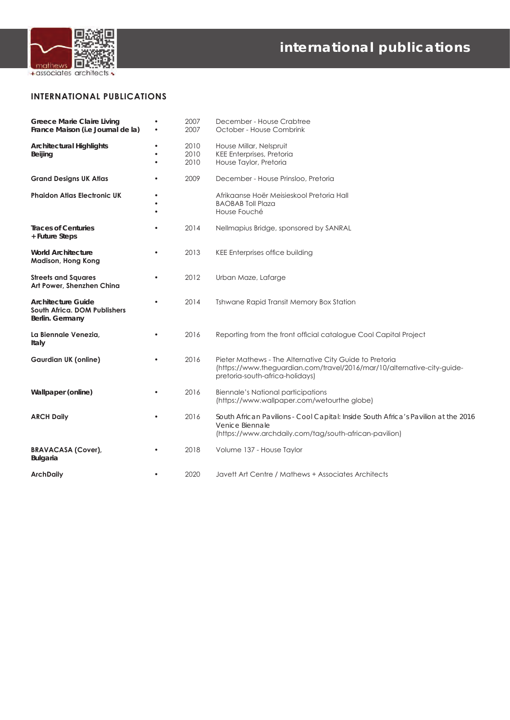

**INTERNATIONAL PUBLICATIONS**

| <b>Greece Marie Claire Living</b><br>France Maison (i.e Journal de la)       | $\bullet$                           | 2007<br>2007         | December - House Crabtree<br>October - House Combrink                                                                                                                 |
|------------------------------------------------------------------------------|-------------------------------------|----------------------|-----------------------------------------------------------------------------------------------------------------------------------------------------------------------|
| <b>Architectural Highlights</b><br>Beijing                                   | $\bullet$<br>$\bullet$<br>$\bullet$ | 2010<br>2010<br>2010 | House Millar, Nelspruit<br><b>KEE Enterprises, Pretoria</b><br>House Taylor, Pretoria                                                                                 |
| <b>Grand Designs UK Atlas</b>                                                |                                     | 2009                 | December - House Prinsloo, Pretoria                                                                                                                                   |
| <b>Phaidon Atlas Electronic UK</b>                                           | $\bullet$<br>$\bullet$              |                      | Afrikaanse Hoër Meisieskool Pretoria Hall<br><b>BAOBAB Toll Plaza</b><br>House Fouché                                                                                 |
| <b>Traces of Centuries</b><br>+ Future Steps                                 | $\bullet$                           | 2014                 | Nellmapius Bridge, sponsored by SANRAL                                                                                                                                |
| <b>World Architecture</b><br><b>Madison, Hong Kong</b>                       | $\bullet$                           | 2013                 | KEE Enterprises office building                                                                                                                                       |
| <b>Streets and Squares</b><br>Art Power, Shenzhen China                      |                                     | 2012                 | Urban Maze, Lafarge                                                                                                                                                   |
| <b>Architecture Guide</b><br>South Africa. DOM Publishers<br>Berlin. Germany | $\bullet$                           | 2014                 | Tshwane Rapid Transit Memory Box Station                                                                                                                              |
| La Biennale Venezia,<br>Italy                                                | $\bullet$                           | 2016                 | Reporting from the front official catalogue Cool Capital Project                                                                                                      |
| <b>Gaurdian UK (online)</b>                                                  | $\bullet$                           | 2016                 | Pieter Mathews - The Alternative City Guide to Pretoria<br>(https://www.theguardian.com/travel/2016/mar/10/alternative-city-guide-<br>pretoria-south-africa-holidays) |
| Wallpaper (online)                                                           |                                     | 2016                 | <b>Biennale's National participations</b><br>(https://www.wallpaper.com/wetourthe globe)                                                                              |
| <b>ARCH Daily</b>                                                            |                                     | 2016                 | South African Pavilions - Cool Capital: Inside South Africa's Pavilion at the 2016<br>Venice Biennale<br>(https://www.archdaily.com/tag/south-african-pavilion)       |
| <b>BRAVACASA (Cover),</b><br><b>Bulgaria</b>                                 |                                     | 2018                 | Volume 137 - House Taylor                                                                                                                                             |
| <b>ArchDaily</b>                                                             | $\bullet$                           | 2020                 | Javett Art Centre / Mathews + Associates Architects                                                                                                                   |